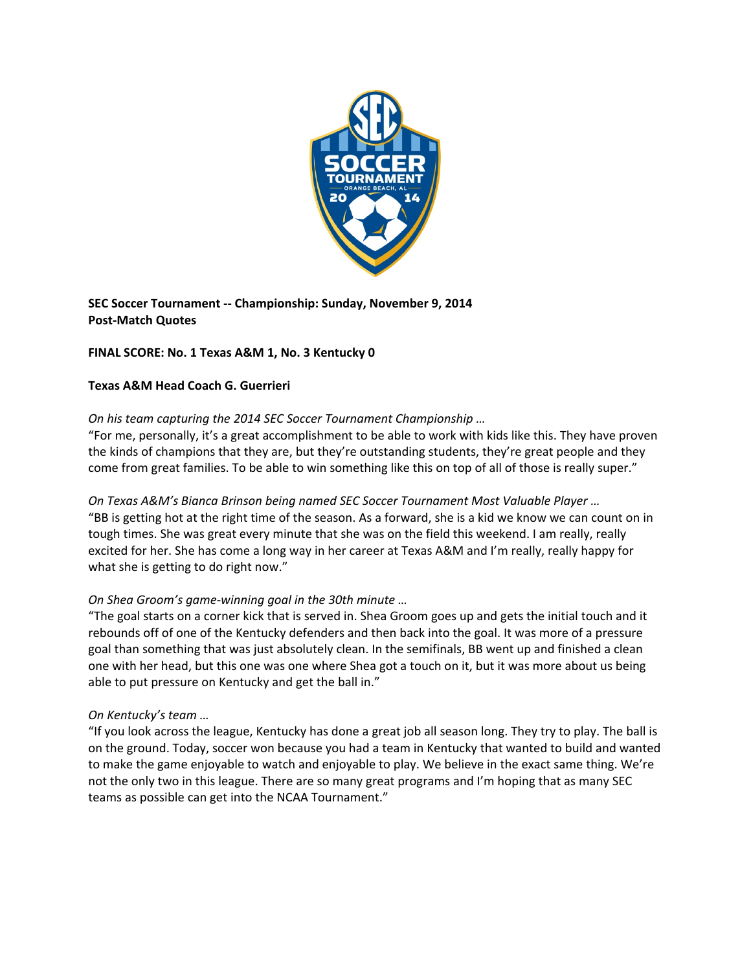

**SEC Soccer Tournament ‐‐ Championship: Sunday, November 9, 2014 Post‐Match Quotes**

# **FINAL SCORE: No. 1 Texas A&M 1, No. 3 Kentucky 0**

### **Texas A&M Head Coach G. Guerrieri**

# *On his team capturing the 2014 SEC Soccer Tournament Championship …*

"For me, personally, it's a great accomplishment to be able to work with kids like this. They have proven the kinds of champions that they are, but they're outstanding students, they're great people and they come from great families. To be able to win something like this on top of all of those is really super."

*On Texas A&M's Bianca Brinson being named SEC Soccer Tournament Most Valuable Player …*  "BB is getting hot at the right time of the season. As a forward, she is a kid we know we can count on in tough times. She was great every minute that she was on the field this weekend. I am really, really excited for her. She has come a long way in her career at Texas A&M and I'm really, really happy for what she is getting to do right now."

# *On Shea Groom's game‐winning goal in the 30th minute …*

"The goal starts on a corner kick that is served in. Shea Groom goes up and gets the initial touch and it rebounds off of one of the Kentucky defenders and then back into the goal. It was more of a pressure goal than something that was just absolutely clean. In the semifinals, BB went up and finished a clean one with her head, but this one was one where Shea got a touch on it, but it was more about us being able to put pressure on Kentucky and get the ball in."

#### *On Kentucky's team …*

"If you look across the league, Kentucky has done a great job all season long. They try to play. The ball is on the ground. Today, soccer won because you had a team in Kentucky that wanted to build and wanted to make the game enjoyable to watch and enjoyable to play. We believe in the exact same thing. We're not the only two in this league. There are so many great programs and I'm hoping that as many SEC teams as possible can get into the NCAA Tournament."